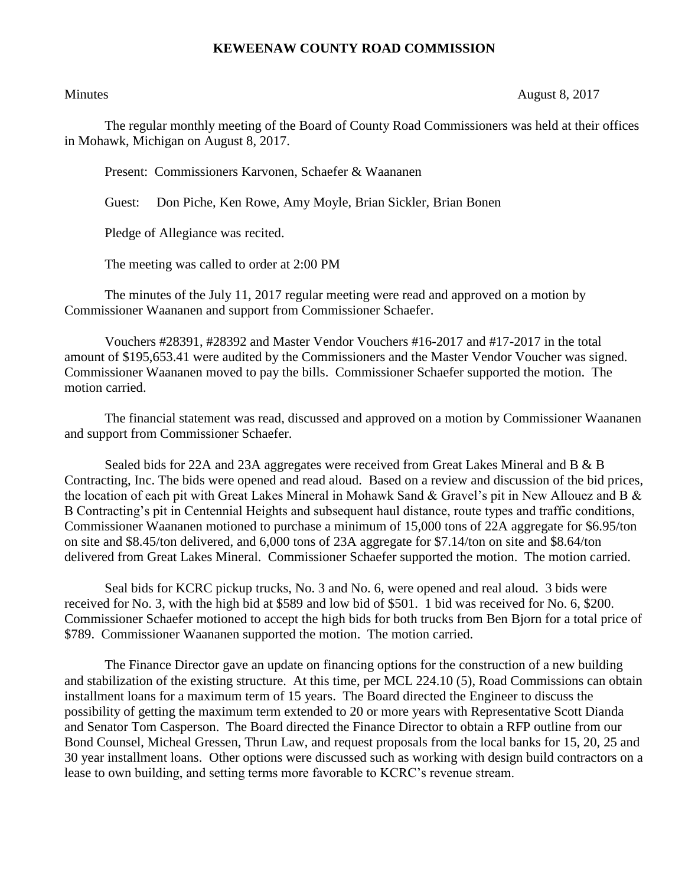## **KEWEENAW COUNTY ROAD COMMISSION**

## Minutes August 8, 2017

The regular monthly meeting of the Board of County Road Commissioners was held at their offices in Mohawk, Michigan on August 8, 2017.

Present: Commissioners Karvonen, Schaefer & Waananen

Guest: Don Piche, Ken Rowe, Amy Moyle, Brian Sickler, Brian Bonen

Pledge of Allegiance was recited.

The meeting was called to order at 2:00 PM

The minutes of the July 11, 2017 regular meeting were read and approved on a motion by Commissioner Waananen and support from Commissioner Schaefer.

Vouchers #28391, #28392 and Master Vendor Vouchers #16-2017 and #17-2017 in the total amount of \$195,653.41 were audited by the Commissioners and the Master Vendor Voucher was signed. Commissioner Waananen moved to pay the bills. Commissioner Schaefer supported the motion. The motion carried.

The financial statement was read, discussed and approved on a motion by Commissioner Waananen and support from Commissioner Schaefer.

Sealed bids for 22A and 23A aggregates were received from Great Lakes Mineral and B & B Contracting, Inc. The bids were opened and read aloud. Based on a review and discussion of the bid prices, the location of each pit with Great Lakes Mineral in Mohawk Sand & Gravel's pit in New Allouez and B & B Contracting's pit in Centennial Heights and subsequent haul distance, route types and traffic conditions, Commissioner Waananen motioned to purchase a minimum of 15,000 tons of 22A aggregate for \$6.95/ton on site and \$8.45/ton delivered, and 6,000 tons of 23A aggregate for \$7.14/ton on site and \$8.64/ton delivered from Great Lakes Mineral. Commissioner Schaefer supported the motion. The motion carried.

Seal bids for KCRC pickup trucks, No. 3 and No. 6, were opened and real aloud. 3 bids were received for No. 3, with the high bid at \$589 and low bid of \$501. 1 bid was received for No. 6, \$200. Commissioner Schaefer motioned to accept the high bids for both trucks from Ben Bjorn for a total price of \$789. Commissioner Waananen supported the motion. The motion carried.

The Finance Director gave an update on financing options for the construction of a new building and stabilization of the existing structure. At this time, per MCL 224.10 (5), Road Commissions can obtain installment loans for a maximum term of 15 years. The Board directed the Engineer to discuss the possibility of getting the maximum term extended to 20 or more years with Representative Scott Dianda and Senator Tom Casperson. The Board directed the Finance Director to obtain a RFP outline from our Bond Counsel, Micheal Gressen, Thrun Law, and request proposals from the local banks for 15, 20, 25 and 30 year installment loans. Other options were discussed such as working with design build contractors on a lease to own building, and setting terms more favorable to KCRC's revenue stream.